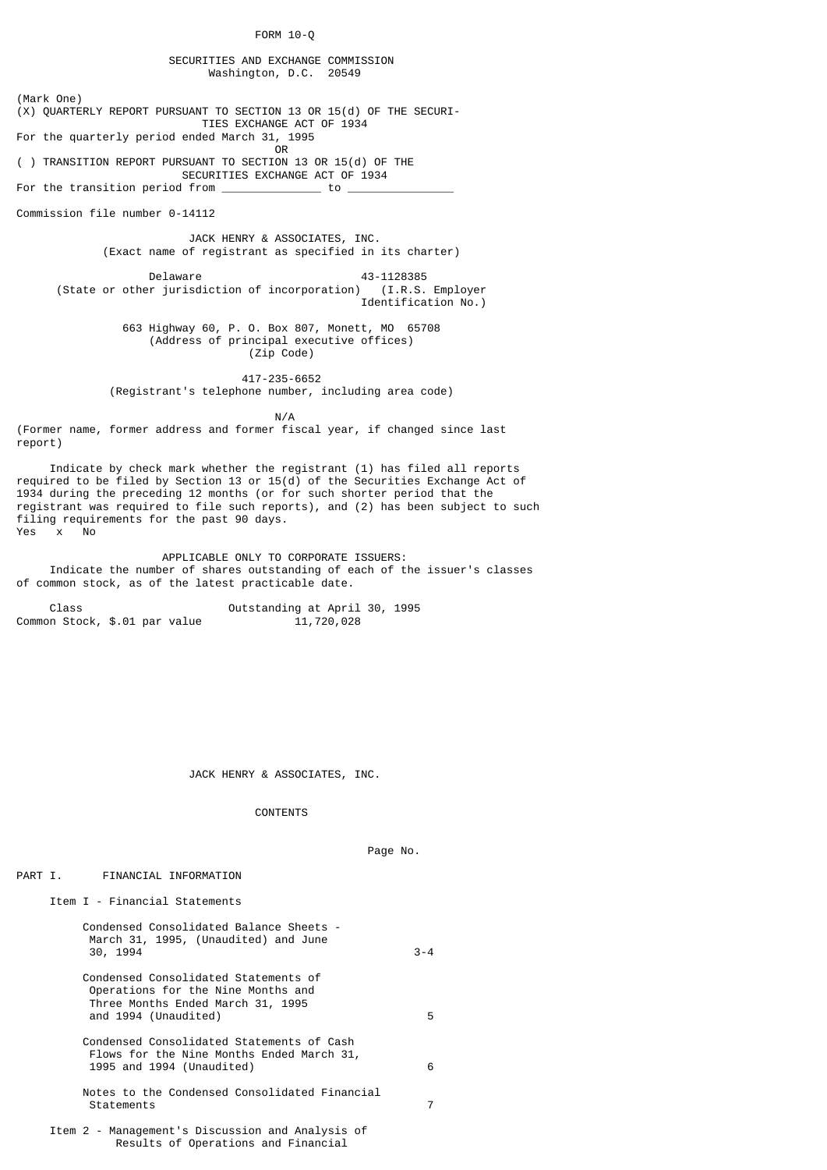FORM 10-Q

 SECURITIES AND EXCHANGE COMMISSION Washington, D.C. 20549

(Mark One)  $(X)$  QUARTERLY REPORT PURSUANT TO SECTION 13 OR 15(d) OF THE SECURI- TIES EXCHANGE ACT OF 1934 For the quarterly period ended March 31, 1995 **OR** Service of the state of the state of the state of the state of the state of the state of the state of the state of the state of the state of the state of the state of the state of the state of the state of the state o ( ) TRANSITION REPORT PURSUANT TO SECTION 13 OR 15(d) OF THE SECURITIES EXCHANGE ACT OF 1934<br>d from \_\_\_\_\_\_\_\_\_\_\_\_\_\_\_\_\_ to \_\_\_\_\_\_\_ For the transition period from  $\overline{\phantom{a}}$ Commission file number 0-14112 JACK HENRY & ASSOCIATES, INC.

(Exact name of registrant as specified in its charter)

Delaware 43-1128385 (State or other jurisdiction of incorporation) (I.R.S. Employer Identification No.)

> 663 Highway 60, P. O. Box 807, Monett, MO 65708 (Address of principal executive offices) (Zip Code)

> > 417-235-6652

(Registrant's telephone number, including area code)

N/A

(Former name, former address and former fiscal year, if changed since last report)

 Indicate by check mark whether the registrant (1) has filed all reports required to be filed by Section 13 or 15(d) of the Securities Exchange Act of 1934 during the preceding 12 months (or for such shorter period that the registrant was required to file such reports), and (2) has been subject to such filing requirements for the past 90 days. Yes x No

 APPLICABLE ONLY TO CORPORATE ISSUERS: Indicate the number of shares outstanding of each of the issuer's classes of common stock, as of the latest practicable date.

 Class Outstanding at April 30, 1995 Common Stock, \$.01 par value

JACK HENRY & ASSOCIATES, INC.

CONTENTS

Page No.

## PART I. FINANCIAL INFORMATION

Item I - Financial Statements

| Condensed Consolidated Balance Sheets -<br>March 31, 1995, (Unaudited) and June<br>30, 1994                                             | $3 - 4$ |
|-----------------------------------------------------------------------------------------------------------------------------------------|---------|
| Condensed Consolidated Statements of<br>Operations for the Nine Months and<br>Three Months Ended March 31, 1995<br>and 1994 (Unaudited) | 5       |
| Condensed Consolidated Statements of Cash<br>Flows for the Nine Months Ended March 31,<br>1995 and 1994 (Unaudited)                     | 6       |
| Notes to the Condensed Consolidated Financial<br>Statements                                                                             | 7       |
| Item 2 - Management's Discussion and Analysis of<br>Results of Operations and Financial                                                 |         |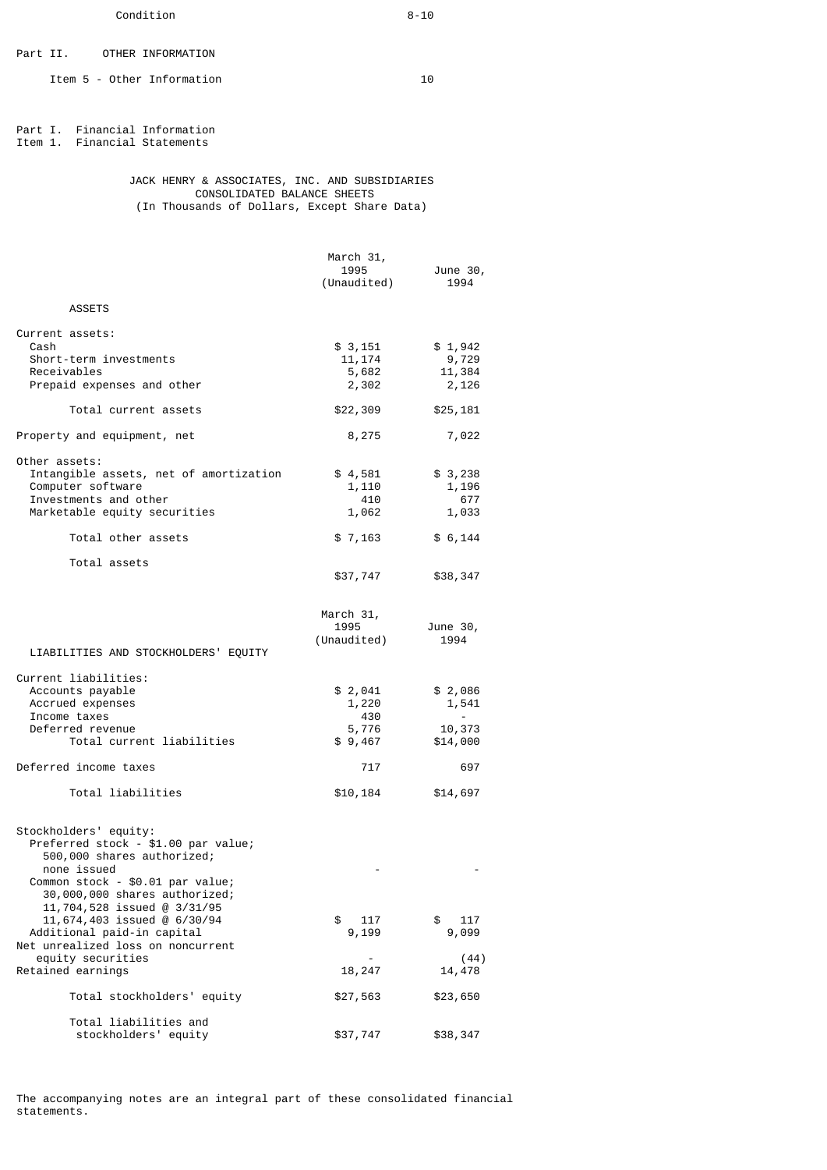Part II. OTHER INFORMATION

Item 5 - Other Information 10

Part I. Financial Information Item 1. Financial Statements

 JACK HENRY & ASSOCIATES, INC. AND SUBSIDIARIES CONSOLIDATED BALANCE SHEETS (In Thousands of Dollars, Except Share Data)

|                                                                 | March 31,<br>1995 |                  |
|-----------------------------------------------------------------|-------------------|------------------|
|                                                                 | (Unaudited)       | June 30,<br>1994 |
| <b>ASSETS</b>                                                   |                   |                  |
|                                                                 |                   |                  |
| Current assets:<br>Cash                                         | \$ 3,151          | \$1,942          |
| Short-term investments                                          | 11, 174           | 9,729            |
| Receivables                                                     | 5,682             | 11,384           |
| Prepaid expenses and other                                      | 2,302             | 2,126            |
| Total current assets                                            | \$22,309          | \$25,181         |
| Property and equipment, net                                     | 8,275             | 7,022            |
| Other assets:                                                   |                   |                  |
| Intangible assets, net of amortization                          | \$4,581           | \$ 3,238         |
| Computer software<br>Investments and other                      | 1,110<br>410      | 1,196<br>677     |
| Marketable equity securities                                    | 1,062             | 1,033            |
| Total other assets                                              | \$7,163           | \$6,144          |
| Total assets                                                    |                   |                  |
|                                                                 | \$37,747          | \$38,347         |
|                                                                 |                   |                  |
|                                                                 | March 31,<br>1995 | June 30,         |
|                                                                 | (Unaudited)       | 1994             |
| LIABILITIES AND STOCKHOLDERS' EQUITY                            |                   |                  |
| Current liabilities:                                            |                   |                  |
| Accounts payable                                                | \$ 2,041          | \$ 2,086         |
| Accrued expenses                                                | 1,220             | 1,541            |
| Income taxes<br>Deferred revenue                                | 430<br>5,776      | 10,373           |
| Total current liabilities                                       | \$9,467           | \$14,000         |
| Deferred income taxes                                           | 717               | 697              |
|                                                                 |                   |                  |
| Total liabilities                                               | \$10,184          | \$14,697         |
| Stockholders' equity:                                           |                   |                  |
| Preferred stock - \$1.00 par value;                             |                   |                  |
| 500,000 shares authorized;                                      |                   |                  |
| none issued<br>Common stock - \$0.01 par value;                 |                   |                  |
| 30,000,000 shares authorized;                                   |                   |                  |
| 11,704,528 issued @ 3/31/95                                     |                   |                  |
| 11,674,403 issued @ 6/30/94                                     | \$<br>117         | \$<br>117        |
| Additional paid-in capital<br>Net unrealized loss on noncurrent | 9,199             | 9,099            |
| equity securities                                               |                   | (44)             |
| Retained earnings                                               | 18,247            | 14,478           |
| Total stockholders' equity                                      | \$27,563          | \$23,650         |
| Total liabilities and                                           |                   |                  |
| stockholders' equity                                            | \$37,747          | \$38,347         |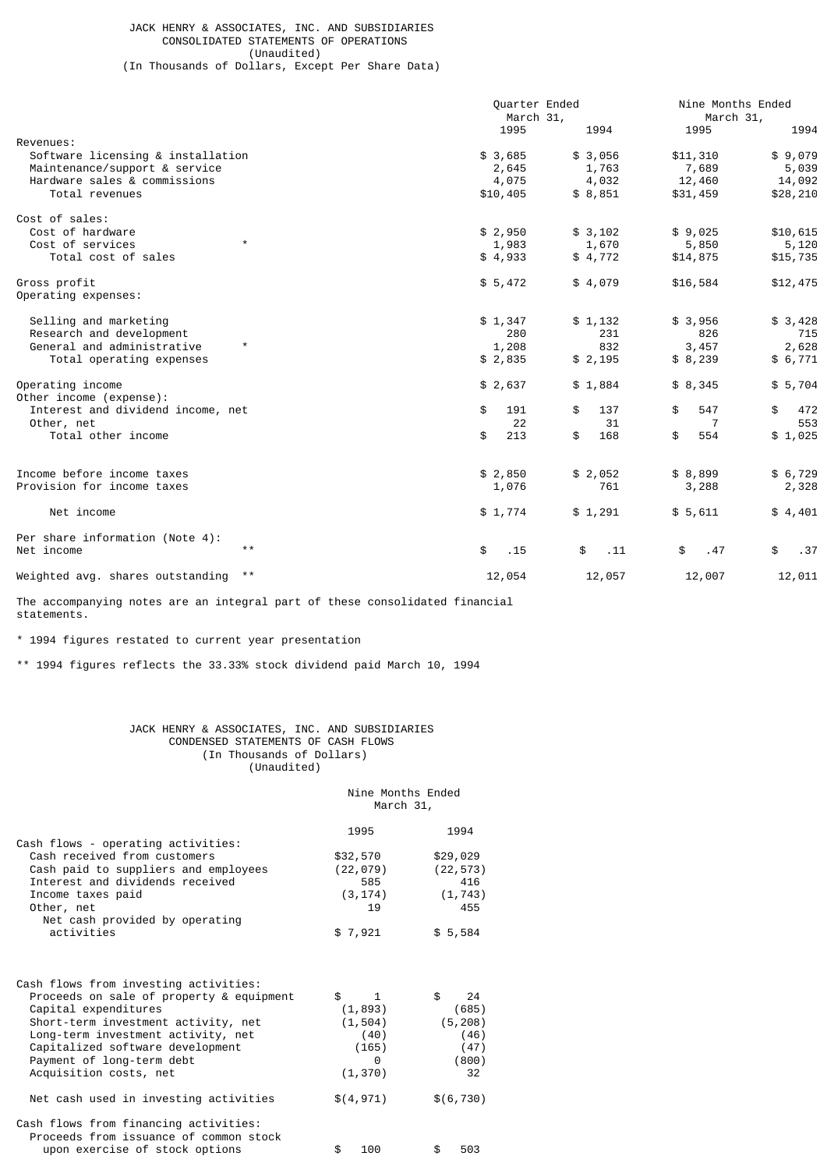## JACK HENRY & ASSOCIATES, INC. AND SUBSIDIARIES CONSOLIDATED STATEMENTS OF OPERATIONS (Unaudited)

(In Thousands of Dollars, Except Per Share Data)

|                                        | Quarter Ended |           | Nine Months Ended |           |  |
|----------------------------------------|---------------|-----------|-------------------|-----------|--|
|                                        |               | March 31, |                   | March 31, |  |
|                                        | 1995          | 1994      | 1995              | 1994      |  |
| Revenues:                              |               |           |                   |           |  |
| Software licensing & installation      | \$3,685       | \$3,056   | \$11,310          | \$9,079   |  |
| Maintenance/support & service          | 2,645         | 1,763     | 7,689             | 5,039     |  |
| Hardware sales & commissions           | 4,075         | 4,032     | 12,460            | 14,092    |  |
| Total revenues                         | \$10,405      | \$8,851   | \$31,459          | \$28,210  |  |
| Cost of sales:                         |               |           |                   |           |  |
| Cost of hardware                       | \$2,950       | \$3,102   | \$9,025           | \$10,615  |  |
| $\star$<br>Cost of services            | 1,983         | 1,670     | 5,850             | 5,120     |  |
| Total cost of sales                    | \$4,933       | \$4,772   | \$14,875          | \$15,735  |  |
| Gross profit                           | \$5,472       | \$4,079   | \$16,584          | \$12,475  |  |
| Operating expenses:                    |               |           |                   |           |  |
| Selling and marketing                  | \$1,347       | \$1,132   | \$3,956           | \$3,428   |  |
| Research and development               | 280           | 231       | 826               | 715       |  |
| $^\star$<br>General and administrative | 1,208         | 832       | 3,457             | 2,628     |  |
| Total operating expenses               | \$2,835       | \$2,195   | \$8,239           | \$6,771   |  |
|                                        |               |           |                   |           |  |
| Operating income                       | \$2,637       | \$1,884   | \$8,345           | \$5,704   |  |
| Other income (expense):                |               |           |                   |           |  |
| Interest and dividend income, net      | \$<br>191     | 137<br>\$ | \$<br>547         | \$<br>472 |  |
| Other, net                             | 22            | 31        | 7                 | 553       |  |
| Total other income                     | \$<br>213     | \$<br>168 | \$<br>554         | \$1,025   |  |
|                                        |               |           |                   |           |  |
| Income before income taxes             | \$2,850       | \$2,052   | \$8,899           | \$6,729   |  |
| Provision for income taxes             | 1,076         | 761       | 3,288             | 2,328     |  |
| Net income                             | \$1,774       | \$1,291   | \$5,611           | \$4,401   |  |
| Per share information (Note 4):        |               |           |                   |           |  |
| $\star\star$<br>Net income             | \$<br>.15     | \$<br>.11 | \$<br>.47         | \$<br>.37 |  |
| $\star\star$                           |               |           |                   |           |  |
| Weighted avg. shares outstanding       | 12,054        | 12,057    | 12,007            | 12,011    |  |
|                                        |               |           |                   |           |  |

The accompanying notes are an integral part of these consolidated financial statements.

\* 1994 figures restated to current year presentation

\*\* 1994 figures reflects the 33.33% stock dividend paid March 10, 1994

## JACK HENRY & ASSOCIATES, INC. AND SUBSIDIARIES CONDENSED STATEMENTS OF CASH FLOWS (In Thousands of Dollars) (Unaudited)

# Nine Months Ended March 31,

|                                                                                                                                                                                                                            | 1995                                            | 1994                                          |
|----------------------------------------------------------------------------------------------------------------------------------------------------------------------------------------------------------------------------|-------------------------------------------------|-----------------------------------------------|
| Cash flows - operating activities:                                                                                                                                                                                         |                                                 |                                               |
| Cash received from customers                                                                                                                                                                                               | \$32,570                                        | \$29,029                                      |
| Cash paid to suppliers and employees                                                                                                                                                                                       | (22, 079)                                       | (22, 573)                                     |
| Interest and dividends received                                                                                                                                                                                            | 585                                             | 416                                           |
| Income taxes paid                                                                                                                                                                                                          | (3, 174)                                        | (1, 743)                                      |
| Other, net                                                                                                                                                                                                                 | 19                                              | 455                                           |
| Net cash provided by operating                                                                                                                                                                                             |                                                 |                                               |
| activities                                                                                                                                                                                                                 | \$7,921                                         | \$5,584                                       |
| Cash flows from investing activities:<br>Proceeds on sale of property & equipment<br>Capital expenditures<br>Short-term investment activity, net<br>Long-term investment activity, net<br>Capitalized software development | \$<br>1<br>(1, 893)<br>(1,504)<br>(40)<br>(165) | \$<br>24<br>(685)<br>(5, 208)<br>(46)<br>(47) |
| Payment of long-term debt                                                                                                                                                                                                  | 0                                               | (800)                                         |
| Acquisition costs, net                                                                                                                                                                                                     | (1, 370)                                        | 32                                            |
| Net cash used in investing activities                                                                                                                                                                                      | \$(4, 971)                                      | \$(6, 730)                                    |
| Cash flows from financing activities:<br>Proceeds from issuance of common stock                                                                                                                                            |                                                 |                                               |
| upon exercise of stock options                                                                                                                                                                                             | \$<br>100                                       | \$<br>503                                     |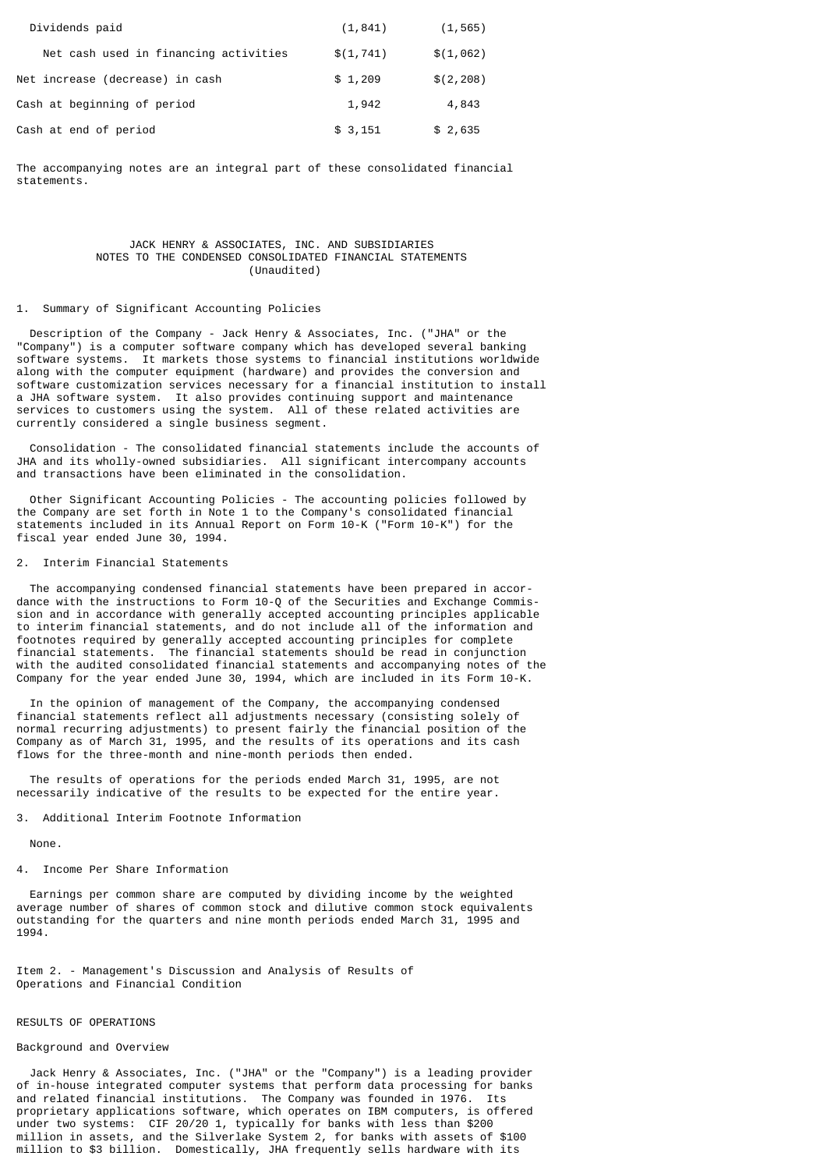| Dividends paid                        | (1, 841)   | (1, 565)   |
|---------------------------------------|------------|------------|
| Net cash used in financing activities | \$(1, 741) | \$(1,062)  |
| Net increase (decrease) in cash       | \$1,209    | \$(2, 208) |
| Cash at beginning of period           | 1,942      | 4,843      |
| Cash at end of period                 | \$3,151    | \$2,635    |

The accompanying notes are an integral part of these consolidated financial statements.

## JACK HENRY & ASSOCIATES, INC. AND SUBSIDIARIES NOTES TO THE CONDENSED CONSOLIDATED FINANCIAL STATEMENTS (Unaudited)

### 1. Summary of Significant Accounting Policies

 Description of the Company - Jack Henry & Associates, Inc. ("JHA" or the "Company") is a computer software company which has developed several banking software systems. It markets those systems to financial institutions worldwide along with the computer equipment (hardware) and provides the conversion and software customization services necessary for a financial institution to install a JHA software system. It also provides continuing support and maintenance services to customers using the system. All of these related activities are currently considered a single business segment.

 Consolidation - The consolidated financial statements include the accounts of JHA and its wholly-owned subsidiaries. All significant intercompany accounts and transactions have been eliminated in the consolidation.

 Other Significant Accounting Policies - The accounting policies followed by the Company are set forth in Note 1 to the Company's consolidated financial statements included in its Annual Report on Form 10-K ("Form 10-K") for the fiscal year ended June 30, 1994.

### 2. Interim Financial Statements

 The accompanying condensed financial statements have been prepared in accordance with the instructions to Form 10-Q of the Securities and Exchange Commission and in accordance with generally accepted accounting principles applicable to interim financial statements, and do not include all of the information and footnotes required by generally accepted accounting principles for complete financial statements. The financial statements should be read in conjunction with the audited consolidated financial statements and accompanying notes of the Company for the year ended June 30, 1994, which are included in its Form 10-K.

 In the opinion of management of the Company, the accompanying condensed financial statements reflect all adjustments necessary (consisting solely of normal recurring adjustments) to present fairly the financial position of the Company as of March 31, 1995, and the results of its operations and its cash flows for the three-month and nine-month periods then ended.

 The results of operations for the periods ended March 31, 1995, are not necessarily indicative of the results to be expected for the entire year.

### 3. Additional Interim Footnote Information

None.

#### 4. Income Per Share Information

 Earnings per common share are computed by dividing income by the weighted average number of shares of common stock and dilutive common stock equivalents outstanding for the quarters and nine month periods ended March 31, 1995 and 1994.

Item 2. - Management's Discussion and Analysis of Results of Operations and Financial Condition

## RESULTS OF OPERATIONS

## Background and Overview

 Jack Henry & Associates, Inc. ("JHA" or the "Company") is a leading provider of in-house integrated computer systems that perform data processing for banks and related financial institutions. The Company was founded in 1976. Its proprietary applications software, which operates on IBM computers, is offered under two systems: CIF 20/20 1, typically for banks with less than \$200 million in assets, and the Silverlake System 2, for banks with assets of \$100 million to \$3 billion. Domestically, JHA frequently sells hardware with its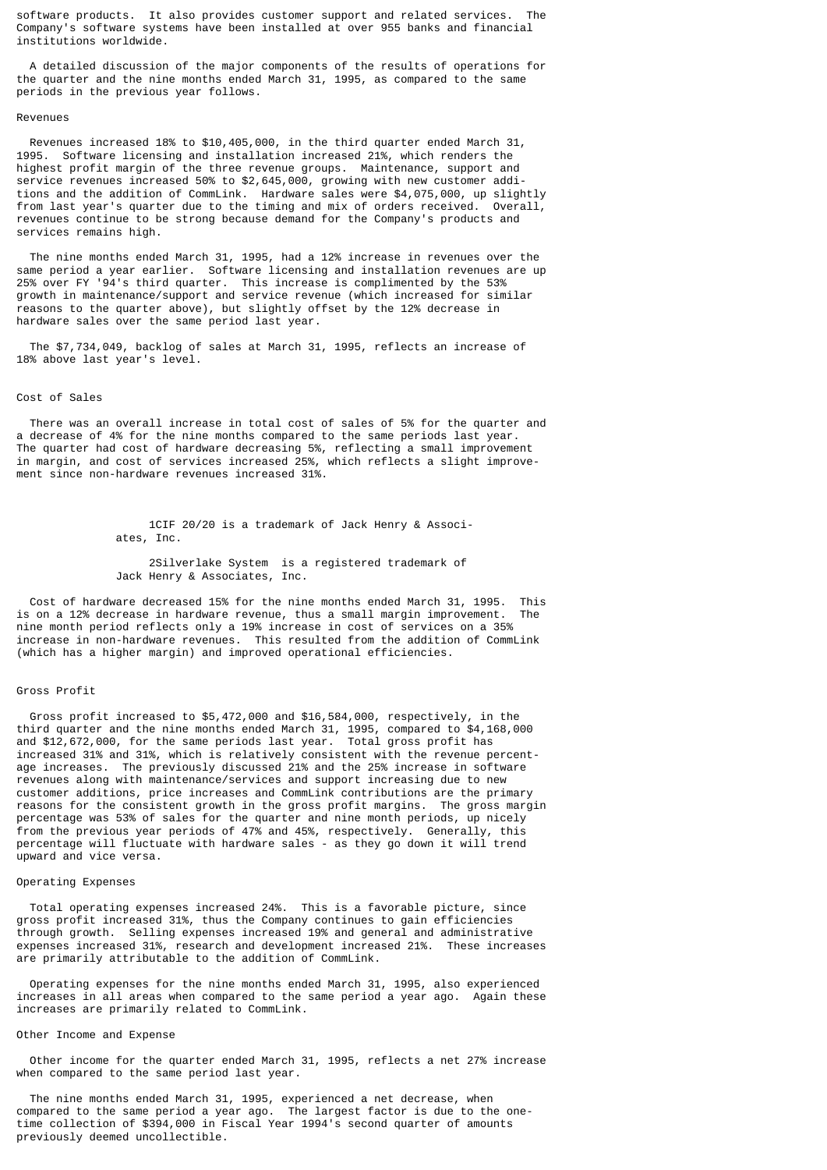software products. It also provides customer support and related services. The Company's software systems have been installed at over 955 banks and financial institutions worldwide.

 A detailed discussion of the major components of the results of operations for the quarter and the nine months ended March 31, 1995, as compared to the same periods in the previous year follows.

#### Revenues

 Revenues increased 18% to \$10,405,000, in the third quarter ended March 31, 1995. Software licensing and installation increased 21%, which renders the highest profit margin of the three revenue groups. Maintenance, support and service revenues increased 50% to \$2,645,000, growing with new customer additions and the addition of CommLink. Hardware sales were \$4,075,000, up slightly from last year's quarter due to the timing and mix of orders received. Overall, revenues continue to be strong because demand for the Company's products and services remains high.

 The nine months ended March 31, 1995, had a 12% increase in revenues over the same period a year earlier. Software licensing and installation revenues are up 25% over FY '94's third quarter. This increase is complimented by the 53% growth in maintenance/support and service revenue (which increased for similar reasons to the quarter above), but slightly offset by the 12% decrease in hardware sales over the same period last year.

 The \$7,734,049, backlog of sales at March 31, 1995, reflects an increase of 18% above last year's level.

### Cost of Sales

 There was an overall increase in total cost of sales of 5% for the quarter and a decrease of 4% for the nine months compared to the same periods last year. The quarter had cost of hardware decreasing 5%, reflecting a small improvement in margin, and cost of services increased 25%, which reflects a slight improvement since non-hardware revenues increased 31%.

> 1CIF 20/20 is a trademark of Jack Henry & Associ ates, Inc.

 2Silverlake System is a registered trademark of Jack Henry & Associates, Inc.

 Cost of hardware decreased 15% for the nine months ended March 31, 1995. This is on a 12% decrease in hardware revenue, thus a small margin improvement. The nine month period reflects only a 19% increase in cost of services on a 35% increase in non-hardware revenues. This resulted from the addition of CommLink (which has a higher margin) and improved operational efficiencies.

## Gross Profit

 Gross profit increased to \$5,472,000 and \$16,584,000, respectively, in the third quarter and the nine months ended March 31, 1995, compared to \$4,168,000 and \$12,672,000, for the same periods last year. Total gross profit has increased 31% and 31%, which is relatively consistent with the revenue percentage increases. The previously discussed 21% and the 25% increase in software revenues along with maintenance/services and support increasing due to new customer additions, price increases and CommLink contributions are the primary reasons for the consistent growth in the gross profit margins. The gross margin percentage was 53% of sales for the quarter and nine month periods, up nicely from the previous year periods of 47% and 45%, respectively. Generally, this percentage will fluctuate with hardware sales - as they go down it will trend upward and vice versa.

## Operating Expenses

 Total operating expenses increased 24%. This is a favorable picture, since gross profit increased 31%, thus the Company continues to gain efficiencies through growth. Selling expenses increased 19% and general and administrative expenses increased 31%, research and development increased 21%. These increases are primarily attributable to the addition of CommLink.

 Operating expenses for the nine months ended March 31, 1995, also experienced increases in all areas when compared to the same period a year ago. Again these increases are primarily related to CommLink.

#### Other Income and Expense

 Other income for the quarter ended March 31, 1995, reflects a net 27% increase when compared to the same period last year.

 The nine months ended March 31, 1995, experienced a net decrease, when compared to the same period a year ago. The largest factor is due to the onetime collection of \$394,000 in Fiscal Year 1994's second quarter of amounts previously deemed uncollectible.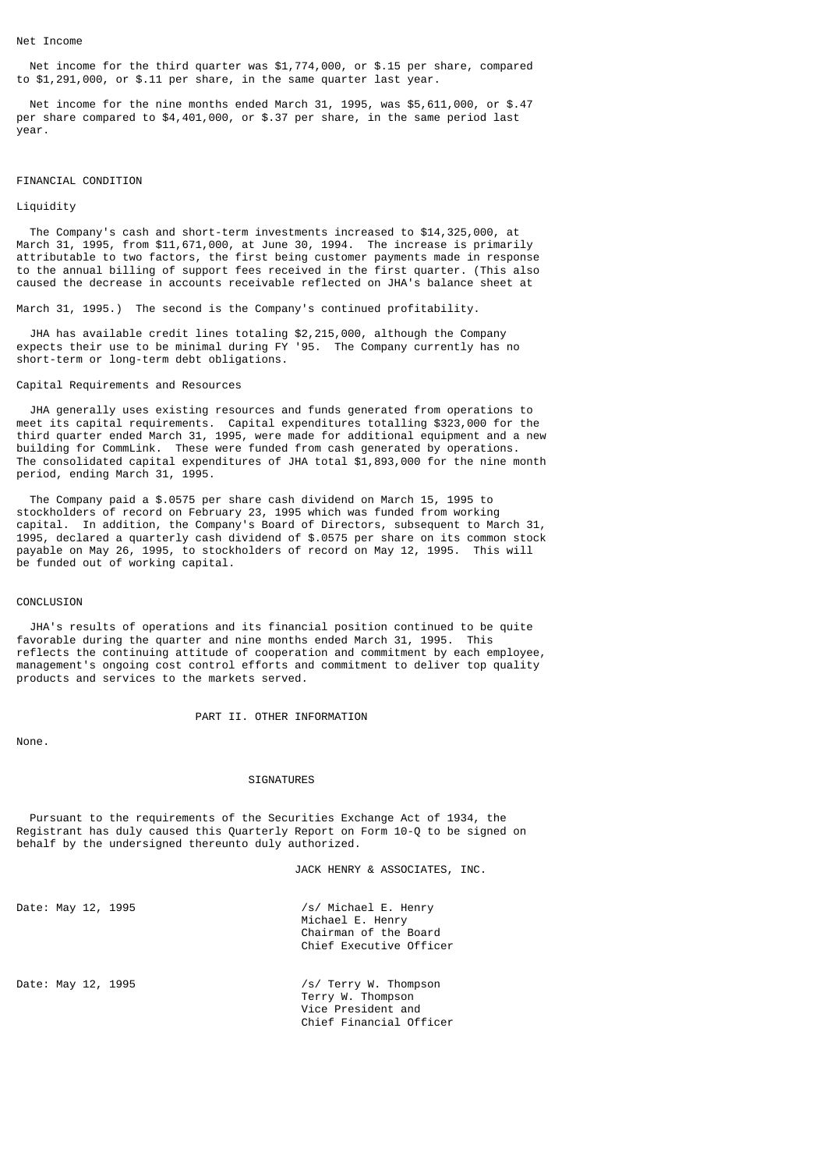Net income for the third quarter was \$1,774,000, or \$.15 per share, compared to \$1,291,000, or \$.11 per share, in the same quarter last year.

 Net income for the nine months ended March 31, 1995, was \$5,611,000, or \$.47 per share compared to \$4,401,000, or \$.37 per share, in the same period last year.

### FINANCIAL CONDITION

### Liquidity

 The Company's cash and short-term investments increased to \$14,325,000, at March 31, 1995, from \$11,671,000, at June 30, 1994. The increase is primarily attributable to two factors, the first being customer payments made in response to the annual billing of support fees received in the first quarter. (This also caused the decrease in accounts receivable reflected on JHA's balance sheet at

March 31, 1995.) The second is the Company's continued profitability.

 JHA has available credit lines totaling \$2,215,000, although the Company expects their use to be minimal during FY '95. The Company currently has no short-term or long-term debt obligations.

### Capital Requirements and Resources

 JHA generally uses existing resources and funds generated from operations to meet its capital requirements. Capital expenditures totalling \$323,000 for the third quarter ended March 31, 1995, were made for additional equipment and a new building for CommLink. These were funded from cash generated by operations. The consolidated capital expenditures of JHA total \$1,893,000 for the nine month period, ending March 31, 1995.

 The Company paid a \$.0575 per share cash dividend on March 15, 1995 to stockholders of record on February 23, 1995 which was funded from working capital. In addition, the Company's Board of Directors, subsequent to March 31, 1995, declared a quarterly cash dividend of \$.0575 per share on its common stock payable on May 26, 1995, to stockholders of record on May 12, 1995. This will be funded out of working capital.

## CONCLUSION

 JHA's results of operations and its financial position continued to be quite favorable during the quarter and nine months ended March 31, 1995. This reflects the continuing attitude of cooperation and commitment by each employee, management's ongoing cost control efforts and commitment to deliver top quality products and services to the markets served.

PART II. OTHER INFORMATION

None.

### SIGNATURES

 Pursuant to the requirements of the Securities Exchange Act of 1934, the Registrant has duly caused this Quarterly Report on Form 10-Q to be signed on behalf by the undersigned thereunto duly authorized.

JACK HENRY & ASSOCIATES, INC.

Date: May 12, 1995 /s/ Michael E. Henry Michael E. Henry Chairman of the Board Chief Executive Officer

Date: May 12, 1995 */s/ Terry W. Thompson*  Terry W. Thompson Vice President and Chief Financial Officer